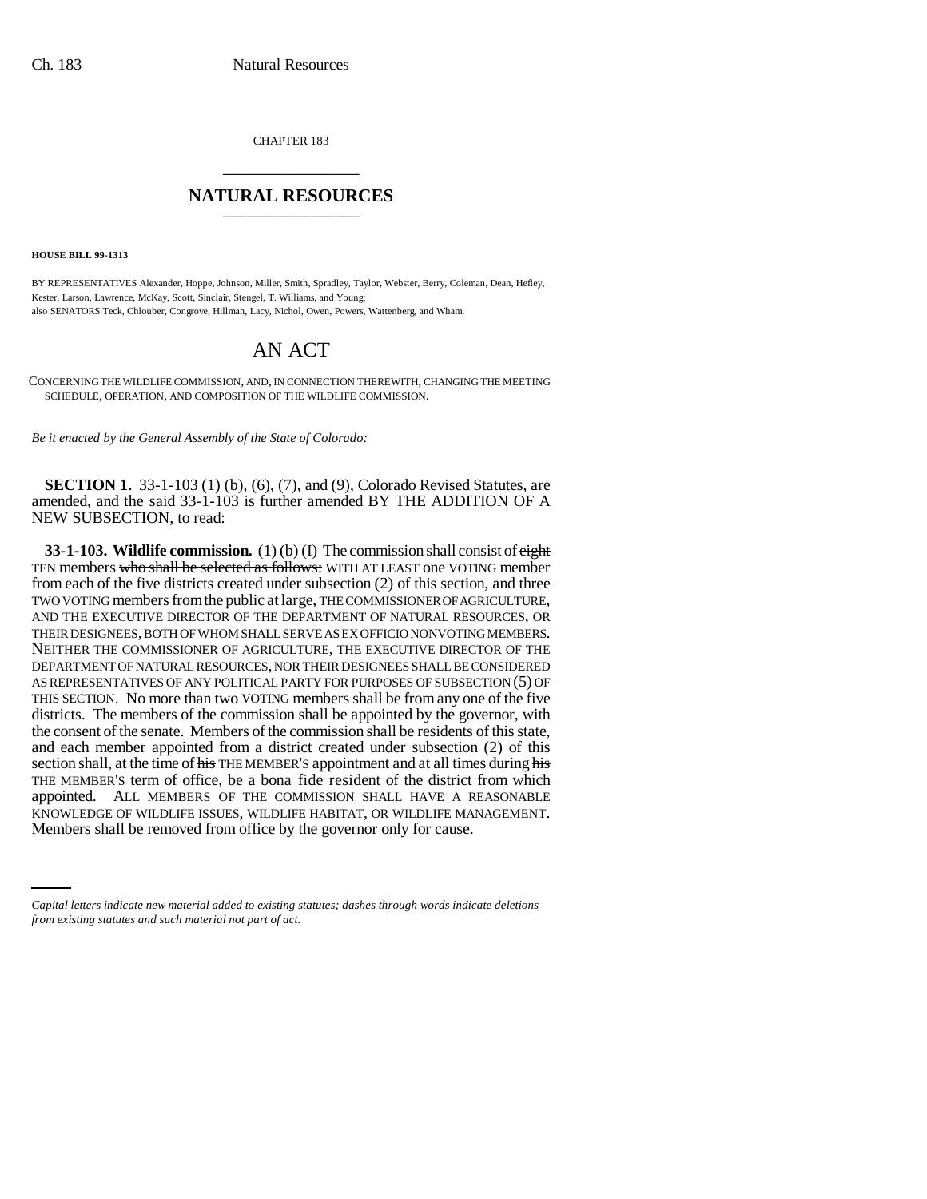CHAPTER 183 \_\_\_\_\_\_\_\_\_\_\_\_\_\_\_

## **NATURAL RESOURCES** \_\_\_\_\_\_\_\_\_\_\_\_\_\_\_

**HOUSE BILL 99-1313**

BY REPRESENTATIVES Alexander, Hoppe, Johnson, Miller, Smith, Spradley, Taylor, Webster, Berry, Coleman, Dean, Hefley, Kester, Larson, Lawrence, McKay, Scott, Sinclair, Stengel, T. Williams, and Young; also SENATORS Teck, Chlouber, Congrove, Hillman, Lacy, Nichol, Owen, Powers, Wattenberg, and Wham.

## AN ACT

CONCERNING THE WILDLIFE COMMISSION, AND, IN CONNECTION THEREWITH, CHANGING THE MEETING SCHEDULE, OPERATION, AND COMPOSITION OF THE WILDLIFE COMMISSION.

*Be it enacted by the General Assembly of the State of Colorado:*

**SECTION 1.** 33-1-103 (1) (b), (6), (7), and (9), Colorado Revised Statutes, are amended, and the said 33-1-103 is further amended BY THE ADDITION OF A NEW SUBSECTION, to read:

KNOWLEDGE OF WILDLIFE ISSUES, WILDLIFE HABITAT, OR WILDLIFE MANAGEMENT. **33-1-103. Wildlife commission.** (1) (b) (I) The commission shall consist of eight TEN members who shall be selected as follows: WITH AT LEAST one VOTING member from each of the five districts created under subsection (2) of this section, and three TWO VOTING members from the public at large, THE COMMISSIONER OF AGRICULTURE, AND THE EXECUTIVE DIRECTOR OF THE DEPARTMENT OF NATURAL RESOURCES, OR THEIR DESIGNEES, BOTH OF WHOM SHALL SERVE AS EX OFFICIO NONVOTING MEMBERS. NEITHER THE COMMISSIONER OF AGRICULTURE, THE EXECUTIVE DIRECTOR OF THE DEPARTMENT OF NATURAL RESOURCES, NOR THEIR DESIGNEES SHALL BE CONSIDERED AS REPRESENTATIVES OF ANY POLITICAL PARTY FOR PURPOSES OF SUBSECTION (5) OF THIS SECTION. No more than two VOTING members shall be from any one of the five districts. The members of the commission shall be appointed by the governor, with the consent of the senate. Members of the commission shall be residents of this state, and each member appointed from a district created under subsection (2) of this section shall, at the time of his THE MEMBER'S appointment and at all times during his THE MEMBER'S term of office, be a bona fide resident of the district from which appointed. ALL MEMBERS OF THE COMMISSION SHALL HAVE A REASONABLE Members shall be removed from office by the governor only for cause.

*Capital letters indicate new material added to existing statutes; dashes through words indicate deletions from existing statutes and such material not part of act.*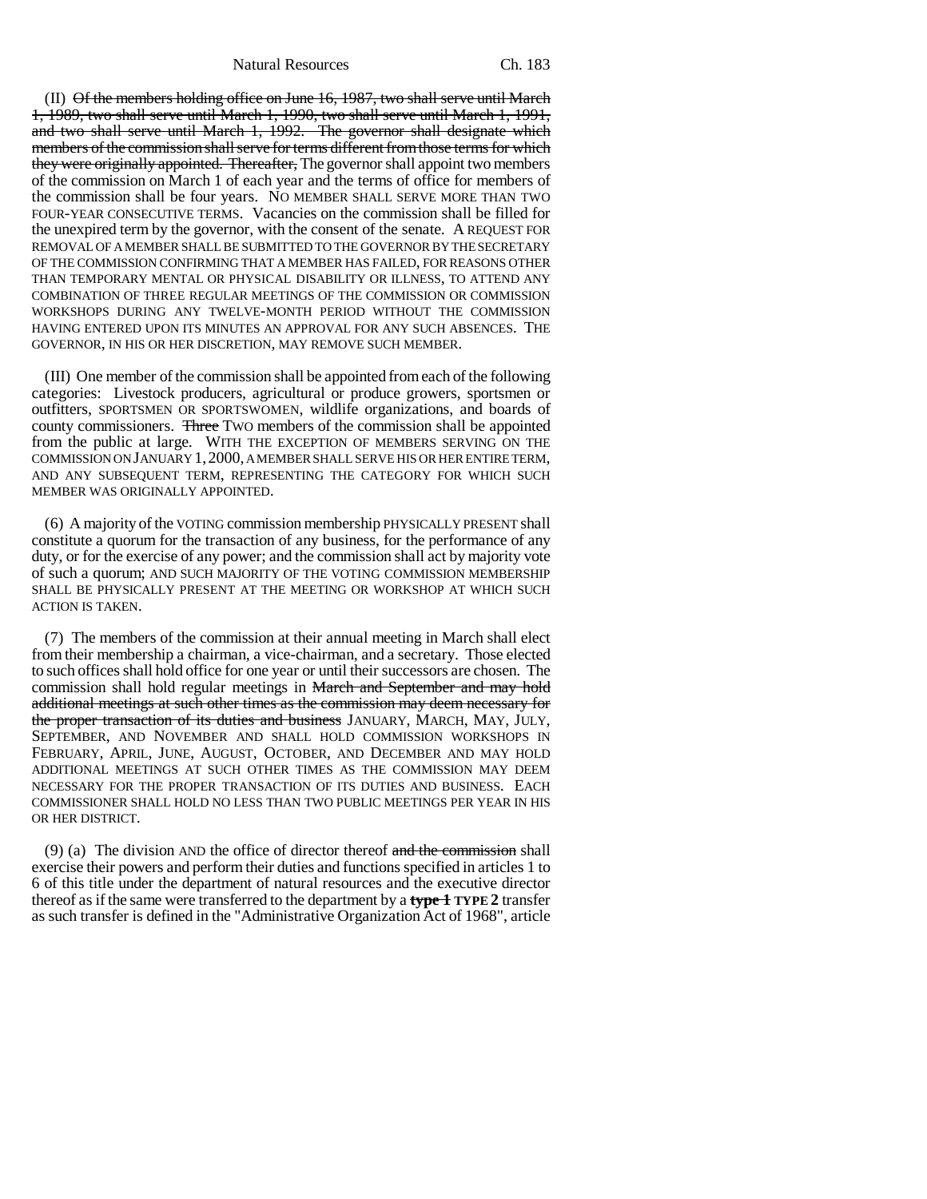Natural Resources Ch. 183

(II) Of the members holding office on June 16, 1987, two shall serve until March 1, 1989, two shall serve until March 1, 1990, two shall serve until March 1, 1991, and two shall serve until March 1, 1992. The governor shall designate which members of the commission shall serve for terms different from those terms for which they were originally appointed. Thereafter, The governor shall appoint two members of the commission on March 1 of each year and the terms of office for members of the commission shall be four years. NO MEMBER SHALL SERVE MORE THAN TWO FOUR-YEAR CONSECUTIVE TERMS. Vacancies on the commission shall be filled for the unexpired term by the governor, with the consent of the senate. A REQUEST FOR REMOVAL OF A MEMBER SHALL BE SUBMITTED TO THE GOVERNOR BY THE SECRETARY OF THE COMMISSION CONFIRMING THAT A MEMBER HAS FAILED, FOR REASONS OTHER THAN TEMPORARY MENTAL OR PHYSICAL DISABILITY OR ILLNESS, TO ATTEND ANY COMBINATION OF THREE REGULAR MEETINGS OF THE COMMISSION OR COMMISSION WORKSHOPS DURING ANY TWELVE-MONTH PERIOD WITHOUT THE COMMISSION HAVING ENTERED UPON ITS MINUTES AN APPROVAL FOR ANY SUCH ABSENCES. THE GOVERNOR, IN HIS OR HER DISCRETION, MAY REMOVE SUCH MEMBER.

(III) One member of the commission shall be appointed from each of the following categories: Livestock producers, agricultural or produce growers, sportsmen or outfitters, SPORTSMEN OR SPORTSWOMEN, wildlife organizations, and boards of county commissioners. Three TWO members of the commission shall be appointed from the public at large. WITH THE EXCEPTION OF MEMBERS SERVING ON THE COMMISSION ON JANUARY 1,2000, A MEMBER SHALL SERVE HIS OR HER ENTIRE TERM, AND ANY SUBSEQUENT TERM, REPRESENTING THE CATEGORY FOR WHICH SUCH MEMBER WAS ORIGINALLY APPOINTED.

(6) A majority of the VOTING commission membership PHYSICALLY PRESENT shall constitute a quorum for the transaction of any business, for the performance of any duty, or for the exercise of any power; and the commission shall act by majority vote of such a quorum; AND SUCH MAJORITY OF THE VOTING COMMISSION MEMBERSHIP SHALL BE PHYSICALLY PRESENT AT THE MEETING OR WORKSHOP AT WHICH SUCH ACTION IS TAKEN.

(7) The members of the commission at their annual meeting in March shall elect from their membership a chairman, a vice-chairman, and a secretary. Those elected to such offices shall hold office for one year or until their successors are chosen. The commission shall hold regular meetings in March and September and may hold additional meetings at such other times as the commission may deem necessary for the proper transaction of its duties and business JANUARY, MARCH, MAY, JULY, SEPTEMBER, AND NOVEMBER AND SHALL HOLD COMMISSION WORKSHOPS IN FEBRUARY, APRIL, JUNE, AUGUST, OCTOBER, AND DECEMBER AND MAY HOLD ADDITIONAL MEETINGS AT SUCH OTHER TIMES AS THE COMMISSION MAY DEEM NECESSARY FOR THE PROPER TRANSACTION OF ITS DUTIES AND BUSINESS. EACH COMMISSIONER SHALL HOLD NO LESS THAN TWO PUBLIC MEETINGS PER YEAR IN HIS OR HER DISTRICT.

(9) (a) The division AND the office of director thereof  $\frac{1}{2}$  and  $\frac{1}{2}$  the commission shall exercise their powers and perform their duties and functions specified in articles 1 to 6 of this title under the department of natural resources and the executive director thereof as if the same were transferred to the department by a **type 1 TYPE 2** transfer as such transfer is defined in the "Administrative Organization Act of 1968", article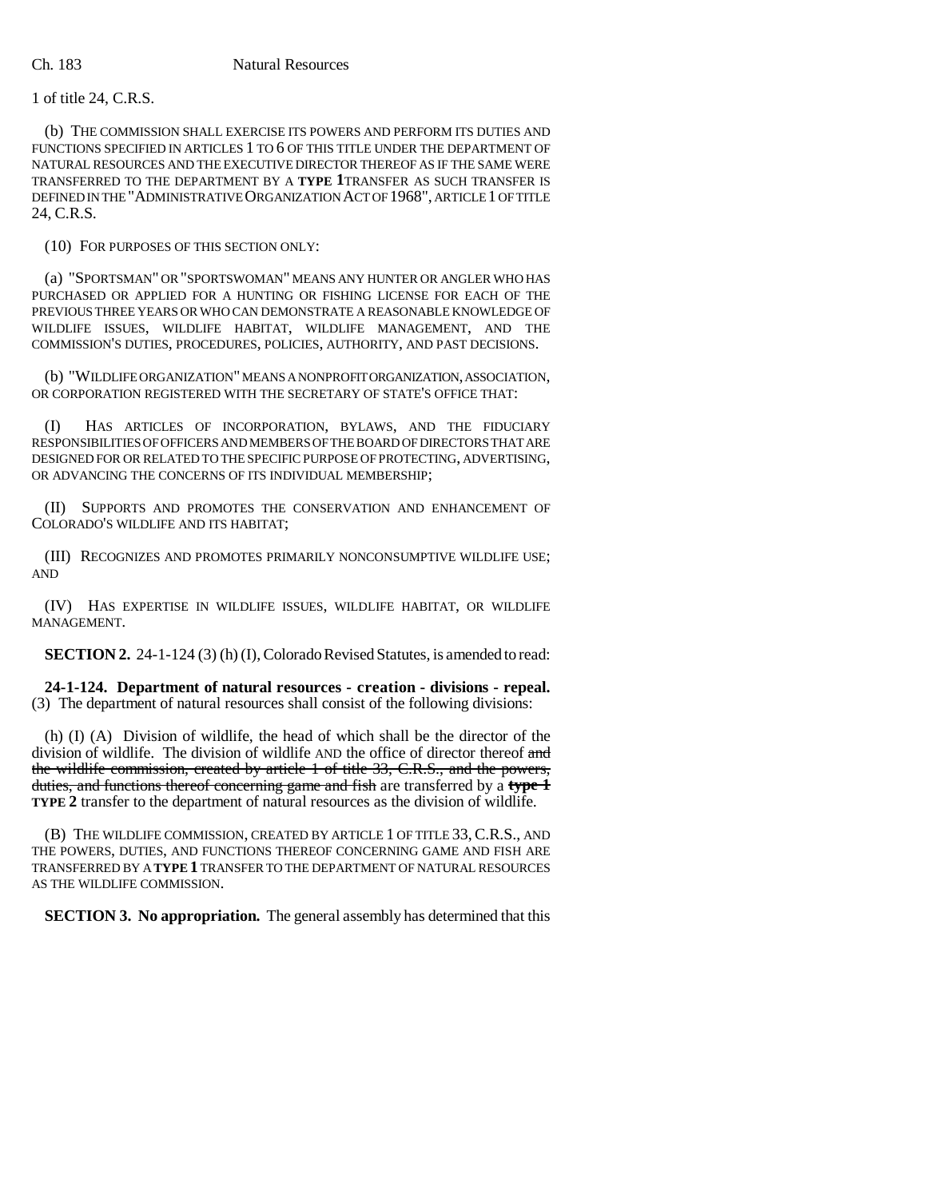## Ch. 183 Natural Resources

1 of title 24, C.R.S.

(b) THE COMMISSION SHALL EXERCISE ITS POWERS AND PERFORM ITS DUTIES AND FUNCTIONS SPECIFIED IN ARTICLES 1 TO 6 OF THIS TITLE UNDER THE DEPARTMENT OF NATURAL RESOURCES AND THE EXECUTIVE DIRECTOR THEREOF AS IF THE SAME WERE TRANSFERRED TO THE DEPARTMENT BY A **TYPE 1**TRANSFER AS SUCH TRANSFER IS DEFINED IN THE "ADMINISTRATIVE ORGANIZATION ACT OF 1968", ARTICLE 1 OF TITLE 24, C.R.S.

(10) FOR PURPOSES OF THIS SECTION ONLY:

(a) "SPORTSMAN" OR "SPORTSWOMAN" MEANS ANY HUNTER OR ANGLER WHO HAS PURCHASED OR APPLIED FOR A HUNTING OR FISHING LICENSE FOR EACH OF THE PREVIOUS THREE YEARS OR WHO CAN DEMONSTRATE A REASONABLE KNOWLEDGE OF WILDLIFE ISSUES, WILDLIFE HABITAT, WILDLIFE MANAGEMENT, AND THE COMMISSION'S DUTIES, PROCEDURES, POLICIES, AUTHORITY, AND PAST DECISIONS.

(b) "WILDLIFE ORGANIZATION" MEANS A NONPROFIT ORGANIZATION, ASSOCIATION, OR CORPORATION REGISTERED WITH THE SECRETARY OF STATE'S OFFICE THAT:

(I) HAS ARTICLES OF INCORPORATION, BYLAWS, AND THE FIDUCIARY RESPONSIBILITIES OF OFFICERS AND MEMBERS OF THE BOARD OF DIRECTORS THAT ARE DESIGNED FOR OR RELATED TO THE SPECIFIC PURPOSE OF PROTECTING, ADVERTISING, OR ADVANCING THE CONCERNS OF ITS INDIVIDUAL MEMBERSHIP;

(II) SUPPORTS AND PROMOTES THE CONSERVATION AND ENHANCEMENT OF COLORADO'S WILDLIFE AND ITS HABITAT;

(III) RECOGNIZES AND PROMOTES PRIMARILY NONCONSUMPTIVE WILDLIFE USE; AND

(IV) HAS EXPERTISE IN WILDLIFE ISSUES, WILDLIFE HABITAT, OR WILDLIFE MANAGEMENT.

**SECTION 2.** 24-1-124 (3) (h) (I), Colorado Revised Statutes, is amended to read:

**24-1-124. Department of natural resources - creation - divisions - repeal.** (3) The department of natural resources shall consist of the following divisions:

(h) (I) (A) Division of wildlife, the head of which shall be the director of the division of wildlife. The division of wildlife AND the office of director thereof and the wildlife commission, created by article 1 of title 33, C.R.S., and the powers, duties, and functions thereof concerning game and fish are transferred by a **type 1 TYPE 2** transfer to the department of natural resources as the division of wildlife.

(B) THE WILDLIFE COMMISSION, CREATED BY ARTICLE 1 OF TITLE 33,C.R.S., AND THE POWERS, DUTIES, AND FUNCTIONS THEREOF CONCERNING GAME AND FISH ARE TRANSFERRED BY A **TYPE 1** TRANSFER TO THE DEPARTMENT OF NATURAL RESOURCES AS THE WILDLIFE COMMISSION.

**SECTION 3. No appropriation.** The general assembly has determined that this